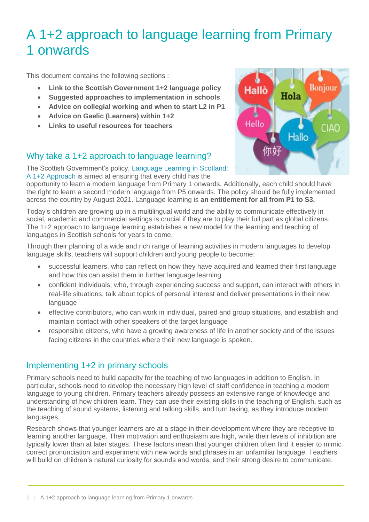# A 1+2 approach to language learning from Primary 1 onwards

This document contains the following sections :

- **Link to the Scottish Government 1+2 language policy**
- **Suggested approaches to implementation in schools**
- **Advice on collegial working and when to start L2 in P1**
- **Advice on Gaelic (Learners) within 1+2**
- **Links to useful resources for teachers**

## Why take a 1+2 approach to language learning?

The Scottish Government's policy, [Language Learning in Scotland:](http://www.gov.scot/Resource/0039/00393435.pdf)  [A 1+2 Approach](http://www.gov.scot/Resource/0039/00393435.pdf) is aimed at ensuring that every child has the

opportunity to learn a modern language from Primary 1 onwards. Additionally, each child should have the right to learn a second modern language from P5 onwards. The policy should be fully implemented across the country by August 2021. Language learning is **an entitlement for all from P1 to S3.**

Today's children are growing up in a multilingual world and the ability to communicate effectively in social, academic and commercial settings is crucial if they are to play their full part as global citizens. The 1+2 approach to language learning establishes a new model for the learning and teaching of languages in Scottish schools for years to come.

Through their planning of a wide and rich range of learning activities in modern languages to develop language skills, teachers will support children and young people to become:

- successful learners, who can reflect on how they have acquired and learned their first language and how this can assist them in further language learning
- confident individuals, who, through experiencing success and support, can interact with others in real-life situations, talk about topics of personal interest and deliver presentations in their new language
- effective contributors, who can work in individual, paired and group situations, and establish and maintain contact with other speakers of the target language
- responsible citizens, who have a growing awareness of life in another society and of the issues facing citizens in the countries where their new language is spoken.

#### Implementing 1+2 in primary schools

Primary schools need to build capacity for the teaching of two languages in addition to English. In particular, schools need to develop the necessary high level of staff confidence in teaching a modern language to young children. Primary teachers already possess an extensive range of knowledge and understanding of how children learn. They can use their existing skills in the teaching of English, such as the teaching of sound systems, listening and talking skills, and turn taking, as they introduce modern languages.

Research shows that younger learners are at a stage in their development where they are receptive to learning another language. Their motivation and enthusiasm are high, while their levels of inhibition are typically lower than at later stages. These factors mean that younger children often find it easier to mimic correct pronunciation and experiment with new words and phrases in an unfamiliar language. Teachers will build on children's natural curiosity for sounds and words, and their strong desire to communicate.

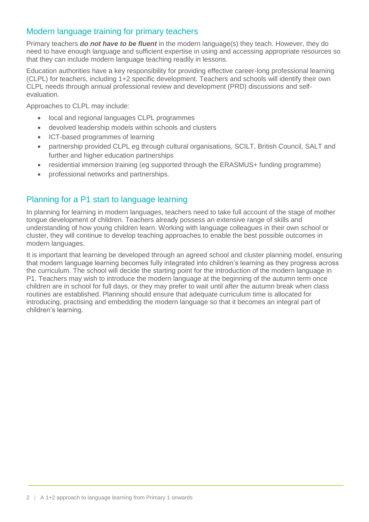### Modern language training for primary teachers

Primary teachers *do not have to be fluent* in the modern language(s) they teach. However, they do need to have enough language and sufficient expertise in using and accessing appropriate resources so that they can include modern language teaching readily in lessons.

Education authorities have a key responsibility for providing effective career-long professional learning (CLPL) for teachers, including 1+2 specific development. Teachers and schools will identify their own CLPL needs through annual professional review and development (PRD) discussions and selfevaluation.

Approaches to CLPL may include:

- local and regional languages CLPL programmes
- devolved leadership models within schools and clusters
- ICT-based programmes of learning
- partnership provided CLPL eg through cultural organisations, SCILT, British Council, SALT and further and higher education partnerships
- residential immersion training (eg supported through the ERASMUS+ funding programme)
- professional networks and partnerships.

#### Planning for a P1 start to language learning

In planning for learning in modern languages, teachers need to take full account of the stage of mother tongue development of children. Teachers already possess an extensive range of skills and understanding of how young children learn. Working with language colleagues in their own school or cluster, they will continue to develop teaching approaches to enable the best possible outcomes in modern languages.

It is important that learning be developed through an agreed school and cluster planning model, ensuring that modern language learning becomes fully integrated into children's learning as they progress across the curriculum. The school will decide the starting point for the introduction of the modern language in P1. Teachers may wish to introduce the modern language at the beginning of the autumn term once children are in school for full days, or they may prefer to wait until after the autumn break when class routines are established. Planning should ensure that adequate curriculum time is allocated for introducing, practising and embedding the modern language so that it becomes an integral part of children's learning.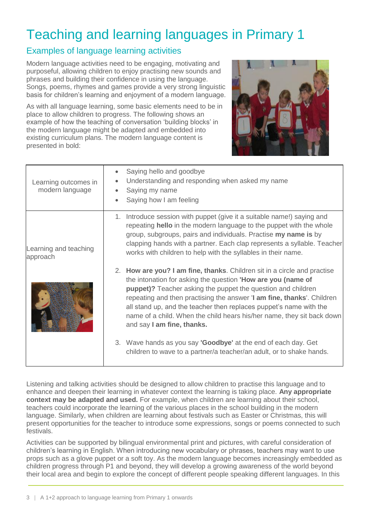# Teaching and learning languages in Primary 1

## Examples of language learning activities

Modern language activities need to be engaging, motivating and purposeful, allowing children to enjoy practising new sounds and phrases and building their confidence in using the language. Songs, poems, rhymes and games provide a very strong linguistic basis for children's learning and enjoyment of a modern language.

As with all language learning, some basic elements need to be in place to allow children to progress. The following shows an example of how the teaching of conversation 'building blocks' in the modern language might be adapted and embedded into existing curriculum plans. The modern language content is presented in bold:



| Learning outcomes in<br>modern language | Saying hello and goodbye<br>Understanding and responding when asked my name<br>$\bullet$<br>Saying my name<br>Saying how I am feeling                                                                                                                                                                                                                                                                                                                                         |
|-----------------------------------------|-------------------------------------------------------------------------------------------------------------------------------------------------------------------------------------------------------------------------------------------------------------------------------------------------------------------------------------------------------------------------------------------------------------------------------------------------------------------------------|
| Learning and teaching<br>approach       | 1. Introduce session with puppet (give it a suitable name!) saying and<br>repeating hello in the modern language to the puppet with the whole<br>group, subgroups, pairs and individuals. Practise my name is by<br>clapping hands with a partner. Each clap represents a syllable. Teacher<br>works with children to help with the syllables in their name.                                                                                                                  |
|                                         | 2. How are you? I am fine, thanks. Children sit in a circle and practise<br>the intonation for asking the question <b>How are you (name of</b><br><b>puppet)?</b> Teacher asking the puppet the question and children<br>repeating and then practising the answer 'I am fine, thanks'. Children<br>all stand up, and the teacher then replaces puppet's name with the<br>name of a child. When the child hears his/her name, they sit back down<br>and say I am fine, thanks. |
|                                         | 3. Wave hands as you say <b>'Goodbye'</b> at the end of each day. Get<br>children to wave to a partner/a teacher/an adult, or to shake hands.                                                                                                                                                                                                                                                                                                                                 |

Listening and talking activities should be designed to allow children to practise this language and to enhance and deepen their learning in whatever context the learning is taking place. **Any appropriate context may be adapted and used.** For example, when children are learning about their school, teachers could incorporate the learning of the various places in the school building in the modern language. Similarly, when children are learning about festivals such as Easter or Christmas, this will present opportunities for the teacher to introduce some expressions, songs or poems connected to such festivals.

Activities can be supported by bilingual environmental print and pictures, with careful consideration of children's learning in English. When introducing new vocabulary or phrases, teachers may want to use props such as a glove puppet or a soft toy. As the modern language becomes increasingly embedded as children progress through P1 and beyond, they will develop a growing awareness of the world beyond their local area and begin to explore the concept of different people speaking different languages. In this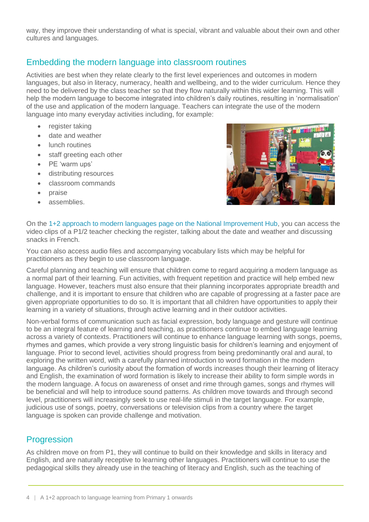way, they improve their understanding of what is special, vibrant and valuable about their own and other cultures and languages.

## Embedding the modern language into classroom routines

Activities are best when they relate clearly to the first level experiences and outcomes in modern languages, but also in literacy, numeracy, health and wellbeing, and to the wider curriculum. Hence they need to be delivered by the class teacher so that they flow naturally within this wider learning. This will help the modern language to become integrated into children's daily routines, resulting in 'normalisation' of the use and application of the modern language. Teachers can integrate the use of the modern language into many everyday activities including, for example:

- register taking
- date and weather
- lunch routines
- staff greeting each other
- PE 'warm ups'
- distributing resources
- classroom commands
- praise
- assemblies.



On the [1+2 approach to modern languages page on the National Improvement Hub,](https://education.gov.scot/improvement/modlang12-one-plus-two-approach) you can access the video clips of a P1/2 teacher checking the register, talking about the date and weather and discussing snacks in French.

You can also access audio files and accompanying vocabulary lists which may be helpful for practitioners as they begin to use classroom language.

Careful planning and teaching will ensure that children come to regard acquiring a modern language as a normal part of their learning. Fun activities, with frequent repetition and practice will help embed new language. However, teachers must also ensure that their planning incorporates appropriate breadth and challenge, and it is important to ensure that children who are capable of progressing at a faster pace are given appropriate opportunities to do so. It is important that all children have opportunities to apply their learning in a variety of situations, through active learning and in their outdoor activities.

Non-verbal forms of communication such as facial expression, body language and gesture will continue to be an integral feature of learning and teaching, as practitioners continue to embed language learning across a variety of contexts. Practitioners will continue to enhance language learning with songs, poems, rhymes and games, which provide a very strong linguistic basis for children's learning and enjoyment of language. Prior to second level, activities should progress from being predominantly oral and aural, to exploring the written word, with a carefully planned introduction to word formation in the modern language. As children's curiosity about the formation of words increases though their learning of literacy and English, the examination of word formation is likely to increase their ability to form simple words in the modern language. A focus on awareness of onset and rime through games, songs and rhymes will be beneficial and will help to introduce sound patterns. As children move towards and through second level, practitioners will increasingly seek to use real-life stimuli in the target language. For example, judicious use of songs, poetry, conversations or television clips from a country where the target language is spoken can provide challenge and motivation.

#### **Progression**

As children move on from P1, they will continue to build on their knowledge and skills in literacy and English, and are naturally receptive to learning other languages. Practitioners will continue to use the pedagogical skills they already use in the teaching of literacy and English, such as the teaching of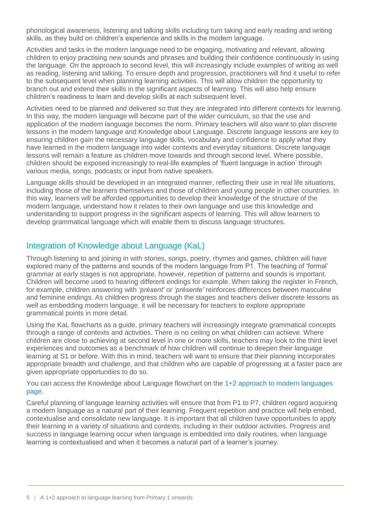phonological awareness, listening and talking skills including turn taking and early reading and writing skills, as they build on children's experience and skills in the modern language.

Activities and tasks in the modern language need to be engaging, motivating and relevant, allowing children to enjoy practising new sounds and phrases and building their confidence continuously in using the language. On the approach to second level, this will increasingly include examples of writing as well as reading, listening and talking. To ensure depth and progression, practitioners will find it useful to refer to the subsequent level when planning learning activities. This will allow children the opportunity to branch out and extend their skills in the significant aspects of learning. This will also help ensure children's readiness to learn and develop skills at each subsequent level.

Activities need to be planned and delivered so that they are integrated into different contexts for learning. In this way, the modern language will become part of the wider curriculum, so that the use and application of the modern language becomes the norm. Primary teachers will also want to plan discrete lessons in the modern language and Knowledge about Language. Discrete language lessons are key to ensuring children gain the necessary language skills, vocabulary and confidence to apply what they have learned in the modern language into wider contexts and everyday situations. Discrete language lessons will remain a feature as children move towards and through second level. Where possible, children should be exposed increasingly to real-life examples of 'fluent language in action' through various media, songs, podcasts or input from native speakers.

Language skills should be developed in an integrated manner, reflecting their use in real life situations, including those of the learners themselves and those of children and young people in other countries. In this way, learners will be afforded opportunities to develop their knowledge of the structure of the modern language, understand how it relates to their own language and use this knowledge and understanding to support progress in the significant aspects of learning. This will allow learners to develop grammatical language which will enable them to discuss language structures.

## Integration of Knowledge about Language (KaL)

Through listening to and joining in with stories, songs, poetry, rhymes and games, children will have explored many of the patterns and sounds of the modern language from P1. The teaching of 'formal' grammar at early stages is not appropriate, however, repetition of patterns and sounds is important. Children will become used to hearing different endings for example. When taking the register in French, for example, children answering with *'présent'* or *'présente'* reinforces differences between masculine and feminine endings. As children progress through the stages and teachers deliver discrete lessons as well as embedding modern language, it will be necessary for teachers to explore appropriate grammatical points in more detail.

Using the KaL flowcharts as a guide, primary teachers will increasingly integrate grammatical concepts through a range of contexts and activities. There is no ceiling on what children can achieve. Where children are close to achieving at second level in one or more skills, teachers may look to the third level experiences and outcomes as a benchmark of how children will continue to deepen their language learning at S1 or before. With this in mind, teachers will want to ensure that their planning incorporates appropriate breadth and challenge, and that children who are capable of progressing at a faster pace are given appropriate opportunities to do so.

You can access the Knowledge about Language flowchart on the [1+2 approach to modern languages](https://education.gov.scot/improvement/modlang12-one-plus-two-approach)  [page.](https://education.gov.scot/improvement/modlang12-one-plus-two-approach)

Careful planning of language learning activities will ensure that from P1 to P7, children regard acquiring a modern language as a natural part of their learning. Frequent repetition and practice will help embed, contextualise and consolidate new language. It is important that all children have opportunities to apply their learning in a variety of situations and contexts, including in their outdoor activities. Progress and success in language learning occur when language is embedded into daily routines, when language learning is contextualised and when it becomes a natural part of a learner's journey.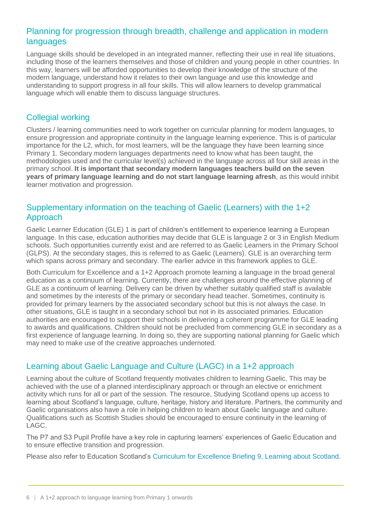## Planning for progression through breadth, challenge and application in modern languages

Language skills should be developed in an integrated manner, reflecting their use in real life situations, including those of the learners themselves and those of children and young people in other countries. In this way, learners will be afforded opportunities to develop their knowledge of the structure of the modern language, understand how it relates to their own language and use this knowledge and understanding to support progress in all four skills. This will allow learners to develop grammatical language which will enable them to discuss language structures.

### Collegial working

Clusters / learning communities need to work together on curricular planning for modern languages, to ensure progression and appropriate continuity in the language learning experience. This is of particular importance for the L2, which, for most learners, will be the language they have been learning since Primary 1. Secondary modern languages departments need to know what has been taught, the methodologies used and the curricular level(s) achieved in the language across all four skill areas in the primary school. **It is important that secondary modern languages teachers build on the seven years of primary language learning and do not start language learning afresh**, as this would inhibit learner motivation and progression.

### Supplementary information on the teaching of Gaelic (Learners) with the 1+2 Approach

Gaelic Learner Education (GLE) 1 is part of children's entitlement to experience learning a European language. In this case, education authorities may decide that GLE is language 2 or 3 in English Medium schools. Such opportunities currently exist and are referred to as Gaelic Learners in the Primary School (GLPS). At the secondary stages, this is referred to as Gaelic (Learners). GLE is an overarching term which spans across primary and secondary. The earlier advice in this framework applies to GLE.

Both Curriculum for Excellence and a 1+2 Approach promote learning a language in the broad general education as a continuum of learning. Currently, there are challenges around the effective planning of GLE as a continuum of learning. Delivery can be driven by whether suitably qualified staff is available and sometimes by the interests of the primary or secondary head teacher. Sometimes, continuity is provided for primary learners by the associated secondary school but this is not always the case. In other situations, GLE is taught in a secondary school but not in its associated primaries. Education authorities are encouraged to support their schools in delivering a coherent programme for GLE leading to awards and qualifications. Children should not be precluded from commencing GLE in secondary as a first experience of language learning. In doing so, they are supporting national planning for Gaelic which may need to make use of the creative approaches undernoted.

## Learning about Gaelic Language and Culture (LAGC) in a 1+2 approach

Learning about the culture of Scotland frequently motivates children to learning Gaelic. This may be achieved with the use of a planned interdisciplinary approach or through an elective or enrichment activity which runs for all or part of the session. The resource, Studying Scotland opens up access to learning about Scotland's language, culture, heritage, history and literature. Partners, the community and Gaelic organisations also have a role in helping children to learn about Gaelic language and culture. Qualifications such as Scottish Studies should be encouraged to ensure continuity in the learning of LAGC.

The P7 and S3 Pupil Profile have a key role in capturing learners' experiences of Gaelic Education and to ensure effective transition and progression.

Please also refer to Education Scotland's [Curriculum for Excellence Briefing](https://education.gov.scot/scottish-education-system/policy-for-scottish-education/policy-drivers/cfe-(building-from-the-statement-appendix-incl-btc1-5)/CfE%20Briefings) 9, Learning about Scotland.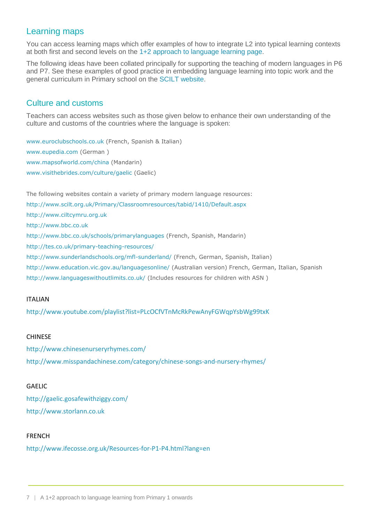## Learning maps

You can access learning maps which offer examples of how to integrate L2 into typical learning contexts at both first and second levels on the [1+2 approach to language](https://education.gov.scot/improvement/Pages/modlang12-one-plus-two-approach.aspx) learning page.

The following ideas have been collated principally for supporting the teaching of modern languages in P6 and P7. See these examples of good practice in embedding language learning into topic work and the general curriculum in Primary school on the SCILT [website.](http://www.scilt.org.uk/Primary/tabid/1291/Default.aspx)

#### Culture and customs

Teachers can access websites such as those given below to enhance their own understanding of the culture and customs of the countries where the language is spoken:

[www.euroclubschools.co.uk](http://www.euroclubschools.co.uk/) (French, Spanish & Italian) [www.eupedia.com](http://www.eupedia.com/) (German ) [www.mapsofworld.com/china](http://www.mapsofworld.com/china) (Mandarin) [www.visithebrides.com/culture/gaelic](http://www.visithebrides.com/culture/gaelic) (Gaelic)

The following websites contain a variety of primary modern language resources:

<http://www.scilt.org.uk/Primary/Classroomresources/tabid/1410/Default.aspx>

[http://www.ciltcymru.org.uk](http://www.ciltcymru.org.uk/)

[http://www.bbc.co.uk](http://www.bbc.co.uk/)

<http://www.bbc.co.uk/schools/primarylanguages> (French, Spanish, Mandarin)

<http://tes.co.uk/primary-teaching-resources/>

<http://www.sunderlandschools.org/mfl-sunderland/> (French, German, Spanish, Italian)

<http://www.education.vic.gov.au/languagesonline/> (Australian version) French, German, Italian, Spanish

<http://www.languageswithoutlimits.co.uk/> (Includes resources for children with ASN )

#### ITALIAN

<http://www.youtube.com/playlist?list=PLcOCfVTnMcRkPewAnyFGWqpYsbWg99txK>

#### **CHINESE**

<http://www.chinesenurseryrhymes.com/> <http://www.misspandachinese.com/category/chinese-songs-and-nursery-rhymes/>

#### **GAFLIC**

<http://gaelic.gosafewithziggy.com/> [http://www.storlann.co.uk](http://www.storlann.co.uk/)

#### FRENCH

<http://www.ifecosse.org.uk/Resources-for-P1-P4.html?lang=en>